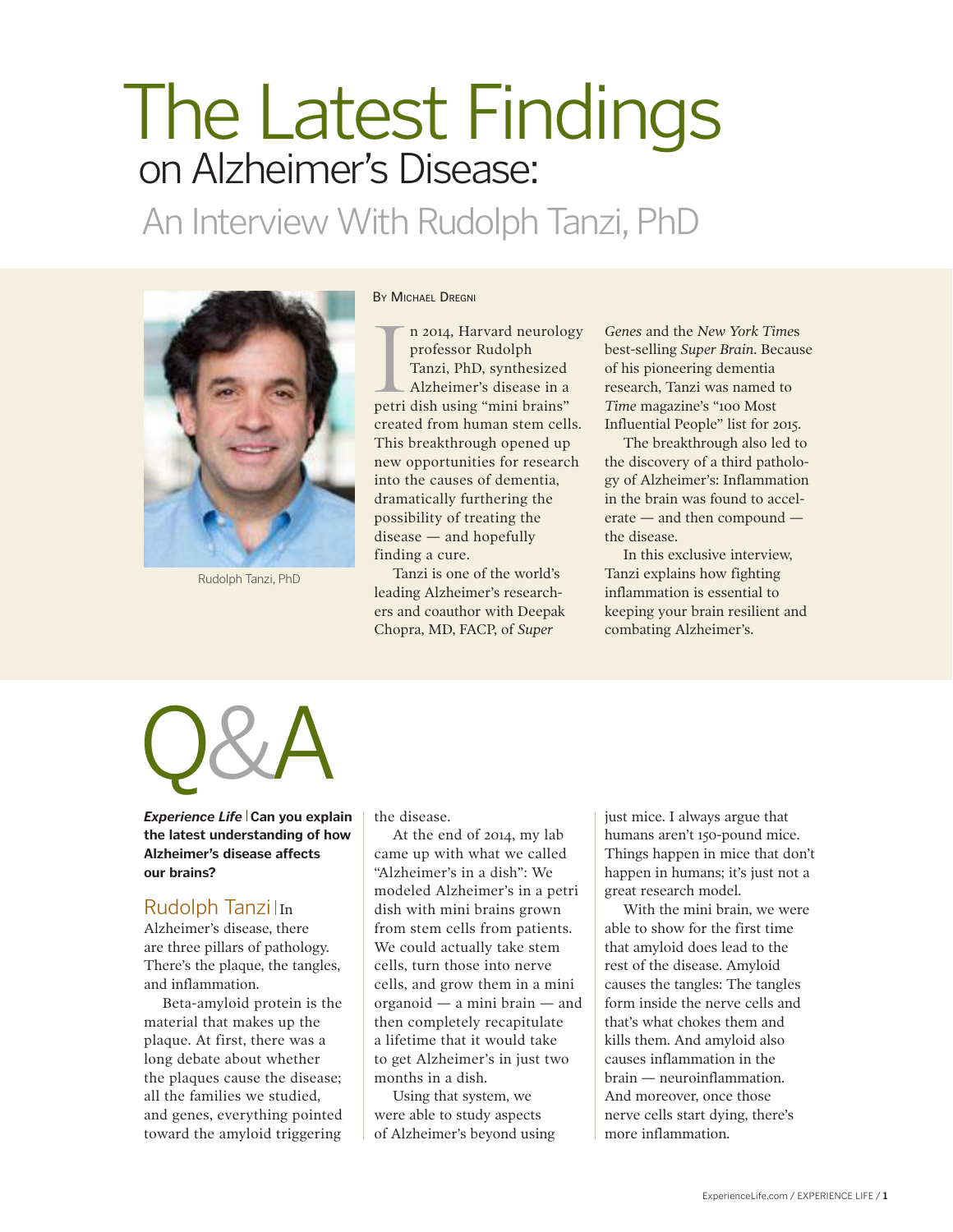# **The Latest Findings** on Alzheimer's Disease:

An Interview With Rudolph Tanzi, PhD



Rudolph Tanzi, PhD

#### By Michael Dregni

n 2014, Harvard neurolog<br>professor Rudolph<br>Tanzi, PhD, synthesized<br>Alzheimer's disease in a<br>petri dish using "mini brains" n 2014, Harvard neurology professor Rudolph Tanzi, PhD, synthesized Alzheimer's disease in a created from human stem cells. This breakthrough opened up new opportunities for research into the causes of dementia, dramatically furthering the possibility of treating the disease — and hopefully finding a cure.

Tanzi is one of the world's leading Alzheimer's researchers and coauthor with Deepak Chopra, MD, FACP, of *Super* 

*Genes* and the *New York Time*s best-selling *Super Brain*. Because of his pioneering dementia research, Tanzi was named to *Time* magazine's "100 Most Influential People" list for 2015.

The breakthrough also led to the discovery of a third pathology of Alzheimer's: Inflammation in the brain was found to accelerate — and then compound the disease.

In this exclusive interview, Tanzi explains how fighting inflammation is essential to keeping your brain resilient and combating Alzheimer's.



*Experience Life* **Can you explain the latest understanding of how Alzheimer's disease affects our brains?**

### Rudolph Tanzi In

Alzheimer's disease, there are three pillars of pathology. There's the plaque, the tangles, and inflammation.

Beta-amyloid protein is the material that makes up the plaque. At first, there was a long debate about whether the plaques cause the disease; all the families we studied, and genes, everything pointed toward the amyloid triggering

the disease.

At the end of 2014, my lab came up with what we called "Alzheimer's in a dish": We modeled Alzheimer's in a petri dish with mini brains grown from stem cells from patients. We could actually take stem cells, turn those into nerve cells, and grow them in a mini organoid — a mini brain — and then completely recapitulate a lifetime that it would take to get Alzheimer's in just two months in a dish.

Using that system, we were able to study aspects of Alzheimer's beyond using just mice. I always argue that humans aren't 150-pound mice. Things happen in mice that don't happen in humans; it's just not a great research model.

With the mini brain, we were able to show for the first time that amyloid does lead to the rest of the disease. Amyloid causes the tangles: The tangles form inside the nerve cells and that's what chokes them and kills them. And amyloid also causes inflammation in the brain — neuroinflammation. And moreover, once those nerve cells start dying, there's more inflammation.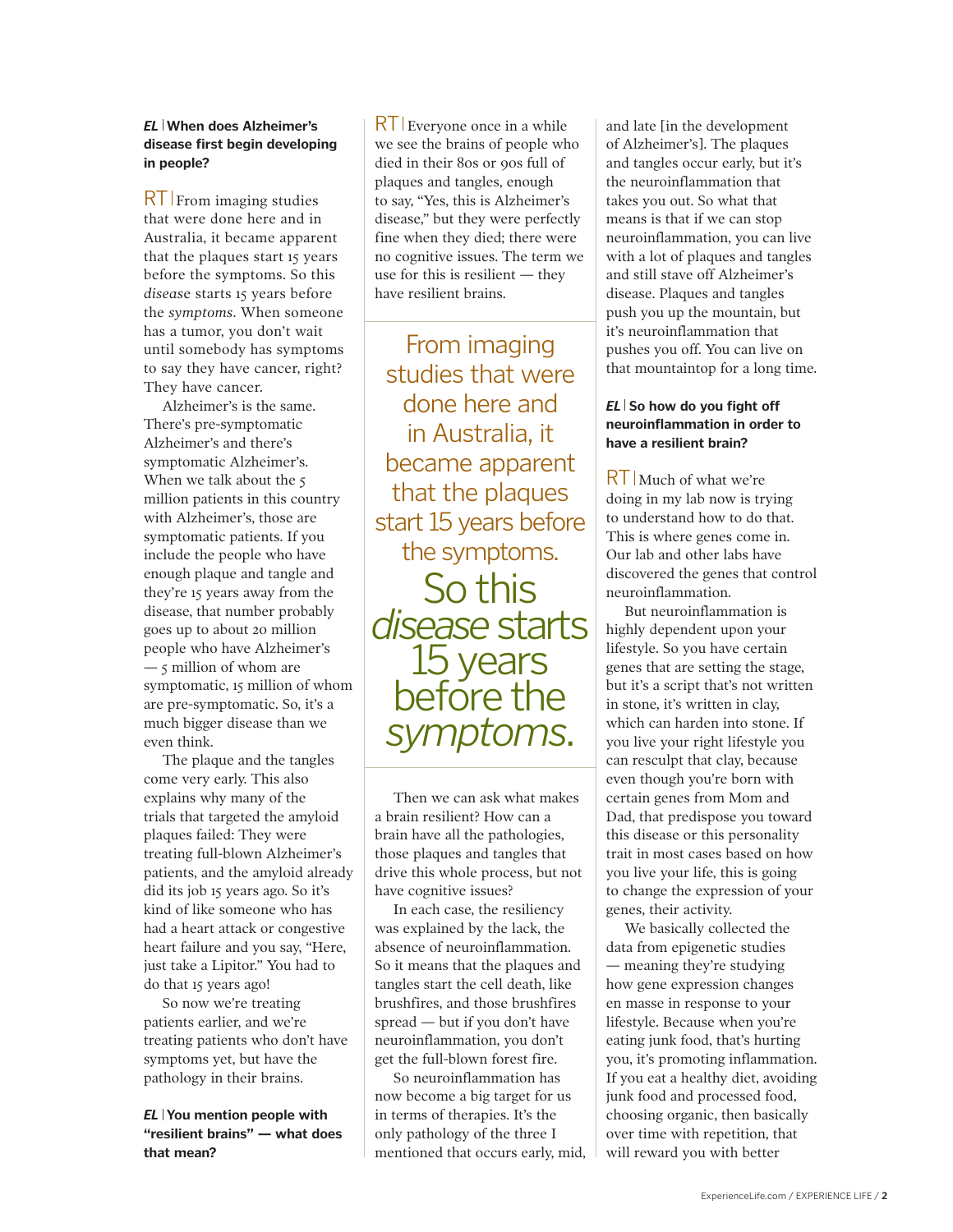#### *EL* **When does Alzheimer's disease first begin developing in people?**

 $RT$  From imaging studies that were done here and in Australia, it became apparent that the plaques start 15 years before the symptoms. So this *diseas*e starts 15 years before the *symptoms*. When someone has a tumor, you don't wait until somebody has symptoms to say they have cancer, right? They have cancer.

Alzheimer's is the same. There's pre-symptomatic Alzheimer's and there's symptomatic Alzheimer's. When we talk about the 5 million patients in this country with Alzheimer's, those are symptomatic patients. If you include the people who have enough plaque and tangle and they're 15 years away from the disease, that number probably goes up to about 20 million people who have Alzheimer's — 5 million of whom are symptomatic, 15 million of whom are pre-symptomatic. So, it's a much bigger disease than we even think.

The plaque and the tangles come very early. This also explains why many of the trials that targeted the amyloid plaques failed: They were treating full-blown Alzheimer's patients, and the amyloid already did its job 15 years ago. So it's kind of like someone who has had a heart attack or congestive heart failure and you say, "Here, just take a Lipitor." You had to do that 15 years ago!

So now we're treating patients earlier, and we're treating patients who don't have symptoms yet, but have the pathology in their brains.

*EL* **You mention people with "resilient brains" — what does that mean?**

 $RT$  Everyone once in a while we see the brains of people who died in their 80s or 90s full of plaques and tangles, enough to say, "Yes, this is Alzheimer's disease," but they were perfectly fine when they died; there were no cognitive issues. The term we use for this is resilient — they have resilient brains.

From imaging studies that were done here and in Australia, it became apparent that the plaques start 15 years before the symptoms. So this *disease* starts 15 years before the *symptoms*.

Then we can ask what makes a brain resilient? How can a brain have all the pathologies, those plaques and tangles that drive this whole process, but not have cognitive issues?

In each case, the resiliency was explained by the lack, the absence of neuroinflammation. So it means that the plaques and tangles start the cell death, like brushfires, and those brushfires spread — but if you don't have neuroinflammation, you don't get the full-blown forest fire.

So neuroinflammation has now become a big target for us in terms of therapies. It's the only pathology of the three I mentioned that occurs early, mid, and late [in the development of Alzheimer's]. The plaques and tangles occur early, but it's the neuroinflammation that takes you out. So what that means is that if we can stop neuroinflammation, you can live with a lot of plaques and tangles and still stave off Alzheimer's disease. Plaques and tangles push you up the mountain, but it's neuroinflammation that pushes you off. You can live on that mountaintop for a long time.

#### *EL* So how do you fight off **neuroinflammation in order to have a resilient brain?**

RT Much of what we're doing in my lab now is trying to understand how to do that. This is where genes come in. Our lab and other labs have discovered the genes that control neuroinflammation.

But neuroinflammation is highly dependent upon your lifestyle. So you have certain genes that are setting the stage, but it's a script that's not written in stone, it's written in clay, which can harden into stone. If you live your right lifestyle you can resculpt that clay, because even though you're born with certain genes from Mom and Dad, that predispose you toward this disease or this personality trait in most cases based on how you live your life, this is going to change the expression of your genes, their activity.

We basically collected the data from epigenetic studies — meaning they're studying how gene expression changes en masse in response to your lifestyle. Because when you're eating junk food, that's hurting you, it's promoting inflammation. If you eat a healthy diet, avoiding junk food and processed food, choosing organic, then basically over time with repetition, that will reward you with better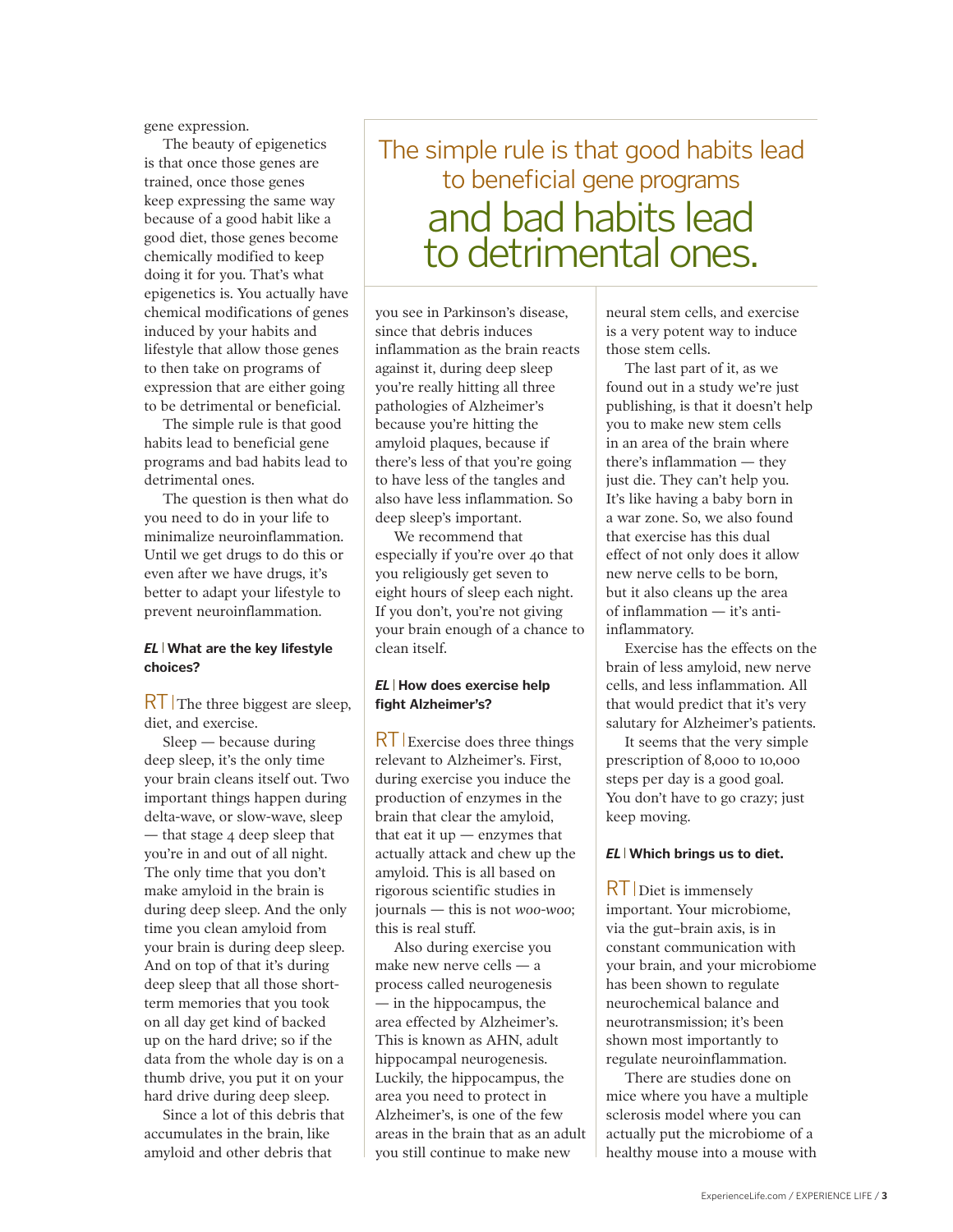gene expression.

The beauty of epigenetics is that once those genes are trained, once those genes keep expressing the same way because of a good habit like a good diet, those genes become chemically modified to keep doing it for you. That's what epigenetics is. You actually have chemical modifications of genes induced by your habits and lifestyle that allow those genes to then take on programs of expression that are either going to be detrimental or beneficial.

The simple rule is that good habits lead to beneficial gene programs and bad habits lead to detrimental ones.

The question is then what do you need to do in your life to minimalize neuroinflammation. Until we get drugs to do this or even after we have drugs, it's better to adapt your lifestyle to prevent neuroinflammation.

#### *EL* **What are the key lifestyle choices?**

 $RT$  The three biggest are sleep, diet, and exercise.

Sleep — because during deep sleep, it's the only time your brain cleans itself out. Two important things happen during delta-wave, or slow-wave, sleep — that stage 4 deep sleep that you're in and out of all night. The only time that you don't make amyloid in the brain is during deep sleep. And the only time you clean amyloid from your brain is during deep sleep. And on top of that it's during deep sleep that all those shortterm memories that you took on all day get kind of backed up on the hard drive; so if the data from the whole day is on a thumb drive, you put it on your hard drive during deep sleep.

Since a lot of this debris that accumulates in the brain, like amyloid and other debris that

## The simple rule is that good habits lead to beneficial gene programs and bad habits lead to detrimental ones.

you see in Parkinson's disease, since that debris induces inflammation as the brain reacts against it, during deep sleep you're really hitting all three pathologies of Alzheimer's because you're hitting the amyloid plaques, because if there's less of that you're going to have less of the tangles and also have less inflammation. So deep sleep's important.

We recommend that especially if you're over 40 that you religiously get seven to eight hours of sleep each night. If you don't, you're not giving your brain enough of a chance to clean itself.

#### *EL* **How does exercise help fight Alzheimer's?**

RT Exercise does three things relevant to Alzheimer's. First, during exercise you induce the production of enzymes in the brain that clear the amyloid, that eat it  $up$  — enzymes that actually attack and chew up the amyloid. This is all based on rigorous scientific studies in journals — this is not *woo-woo*; this is real stuff.

Also during exercise you make new nerve cells — a process called neurogenesis — in the hippocampus, the area effected by Alzheimer's. This is known as AHN, adult hippocampal neurogenesis. Luckily, the hippocampus, the area you need to protect in Alzheimer's, is one of the few areas in the brain that as an adult you still continue to make new

neural stem cells, and exercise is a very potent way to induce those stem cells.

The last part of it, as we found out in a study we're just publishing, is that it doesn't help you to make new stem cells in an area of the brain where there's inflammation — they just die. They can't help you. It's like having a baby born in a war zone. So, we also found that exercise has this dual effect of not only does it allow new nerve cells to be born, but it also cleans up the area of inflammation — it's antiinflammatory.

Exercise has the effects on the brain of less amyloid, new nerve cells, and less inflammation. All that would predict that it's very salutary for Alzheimer's patients.

It seems that the very simple prescription of 8,000 to 10,000 steps per day is a good goal. You don't have to go crazy; just keep moving.

#### *EL* **Which brings us to diet.**

RT Diet is immensely important. Your microbiome, via the gut–brain axis, is in constant communication with your brain, and your microbiome has been shown to regulate neurochemical balance and neurotransmission; it's been shown most importantly to regulate neuroinflammation.

There are studies done on mice where you have a multiple sclerosis model where you can actually put the microbiome of a healthy mouse into a mouse with